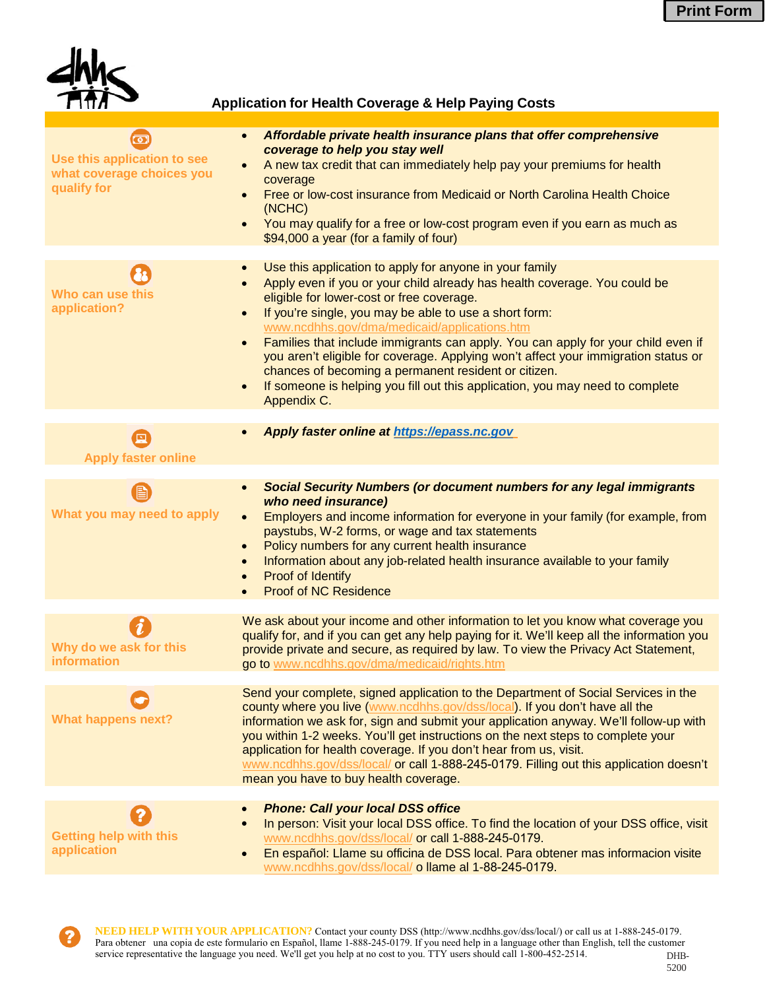

### **Application for Health Coverage & Help Paying Costs**

| Use this application to see<br>what coverage choices you<br>qualify for | Affordable private health insurance plans that offer comprehensive<br>$\bullet$<br>coverage to help you stay well<br>A new tax credit that can immediately help pay your premiums for health<br>$\bullet$<br>coverage<br>Free or low-cost insurance from Medicaid or North Carolina Health Choice<br>$\bullet$<br>(NCHC)<br>You may qualify for a free or low-cost program even if you earn as much as<br>$\bullet$<br>\$94,000 a year (for a family of four)                                                                                                                                                                                                                     |
|-------------------------------------------------------------------------|-----------------------------------------------------------------------------------------------------------------------------------------------------------------------------------------------------------------------------------------------------------------------------------------------------------------------------------------------------------------------------------------------------------------------------------------------------------------------------------------------------------------------------------------------------------------------------------------------------------------------------------------------------------------------------------|
| Who can use this<br>application?                                        | Use this application to apply for anyone in your family<br>$\bullet$<br>Apply even if you or your child already has health coverage. You could be<br>eligible for lower-cost or free coverage.<br>If you're single, you may be able to use a short form:<br>$\bullet$<br>www.ncdhhs.gov/dma/medicaid/applications.htm<br>Families that include immigrants can apply. You can apply for your child even if<br>$\bullet$<br>you aren't eligible for coverage. Applying won't affect your immigration status or<br>chances of becoming a permanent resident or citizen.<br>If someone is helping you fill out this application, you may need to complete<br>$\bullet$<br>Appendix C. |
| 囸<br><b>Apply faster online</b>                                         | Apply faster online at https://epass.nc.gov                                                                                                                                                                                                                                                                                                                                                                                                                                                                                                                                                                                                                                       |
| What you may need to apply                                              | <b>Social Security Numbers (or document numbers for any legal immigrants</b><br>$\bullet$<br>who need insurance)<br>Employers and income information for everyone in your family (for example, from<br>$\bullet$<br>paystubs, W-2 forms, or wage and tax statements<br>Policy numbers for any current health insurance<br>$\bullet$<br>Information about any job-related health insurance available to your family<br>$\bullet$<br>Proof of Identify<br>$\bullet$<br><b>Proof of NC Residence</b>                                                                                                                                                                                 |
| Why do we ask for this<br>information                                   | We ask about your income and other information to let you know what coverage you<br>qualify for, and if you can get any help paying for it. We'll keep all the information you<br>provide private and secure, as required by law. To view the Privacy Act Statement,<br>go to www.ncdhhs.gov/dma/medicaid/rights.htm                                                                                                                                                                                                                                                                                                                                                              |
| <b>What happens next?</b>                                               | Send your complete, signed application to the Department of Social Services in the<br>county where you live (www.ncdhhs.gov/dss/local). If you don't have all the<br>information we ask for, sign and submit your application anyway. We'll follow-up with<br>you within 1-2 weeks. You'll get instructions on the next steps to complete your<br>application for health coverage. If you don't hear from us, visit.<br>www.ncdhhs.gov/dss/local/ or call 1-888-245-0179. Filling out this application doesn't<br>mean you have to buy health coverage.                                                                                                                           |
| <b>Getting help with this</b><br>application                            | <b>Phone: Call your local DSS office</b><br>$\bullet$<br>In person: Visit your local DSS office. To find the location of your DSS office, visit<br>$\bullet$<br>www.ncdhhs.gov/dss/local/ or call 1-888-245-0179.<br>En español: Llame su officina de DSS local. Para obtener mas informacion visite<br>$\bullet$<br>www.ncdhhs.gov/dss/local/ o llame al 1-88-245-0179.                                                                                                                                                                                                                                                                                                          |

**NEED HELP WITH YOUR APPLICATION?** Contact your county DSS (http://www.ncdhhs.gov/dss/local/) or call us at 1-888-245-0179. Para obtener una copia de este formulario en Español, llame 1-888-245-0179. If you need help in a language other than English, tell the customer service representative the language you need. We'll get you help at no cost to you. TTY users should call 1-800-452-2514.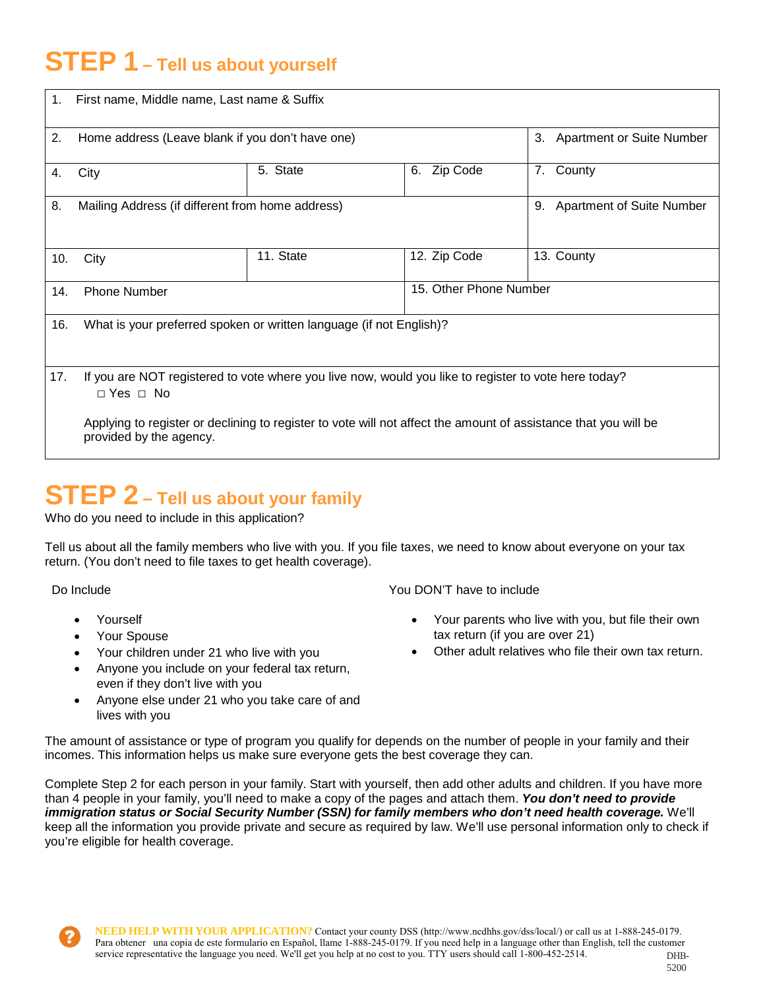# **STEP 1 – Tell us about yourself**

| 1.  | First name, Middle name, Last name & Suffix                                                                                                |                        |                                        |            |  |  |  |  |
|-----|--------------------------------------------------------------------------------------------------------------------------------------------|------------------------|----------------------------------------|------------|--|--|--|--|
| 2.  | Home address (Leave blank if you don't have one)                                                                                           |                        | <b>Apartment or Suite Number</b><br>3. |            |  |  |  |  |
| 4.  | City                                                                                                                                       | Zip Code<br>6.         | County<br>7.                           |            |  |  |  |  |
| 8.  | Mailing Address (if different from home address)                                                                                           |                        | 9. Apartment of Suite Number           |            |  |  |  |  |
| 10. | City                                                                                                                                       | 11. State              | 12. Zip Code                           | 13. County |  |  |  |  |
| 14. | <b>Phone Number</b>                                                                                                                        | 15. Other Phone Number |                                        |            |  |  |  |  |
| 16. | What is your preferred spoken or written language (if not English)?                                                                        |                        |                                        |            |  |  |  |  |
| 17. | If you are NOT registered to vote where you live now, would you like to register to vote here today?<br>$\Box$ Yes $\Box$ No               |                        |                                        |            |  |  |  |  |
|     | Applying to register or declining to register to vote will not affect the amount of assistance that you will be<br>provided by the agency. |                        |                                        |            |  |  |  |  |

# **STEP 2 – Tell us about your family**

Who do you need to include in this application?

Tell us about all the family members who live with you. If you file taxes, we need to know about everyone on your tax return. (You don't need to file taxes to get health coverage).

Do Include

- Yourself
- Your Spouse
- Your children under 21 who live with you
- Anyone you include on your federal tax return, even if they don't live with you
- Anyone else under 21 who you take care of and lives with you

You DON'T have to include

- Your parents who live with you, but file their own tax return (if you are over 21)
- Other adult relatives who file their own tax return.

The amount of assistance or type of program you qualify for depends on the number of people in your family and their incomes. This information helps us make sure everyone gets the best coverage they can.

Complete Step 2 for each person in your family. Start with yourself, then add other adults and children. If you have more than 4 people in your family, you'll need to make a copy of the pages and attach them. *You don't need to provide immigration status or Social Security Number (SSN) for family members who don't need health coverage.* We'll keep all the information you provide private and secure as required by law. We'll use personal information only to check if you're eligible for health coverage.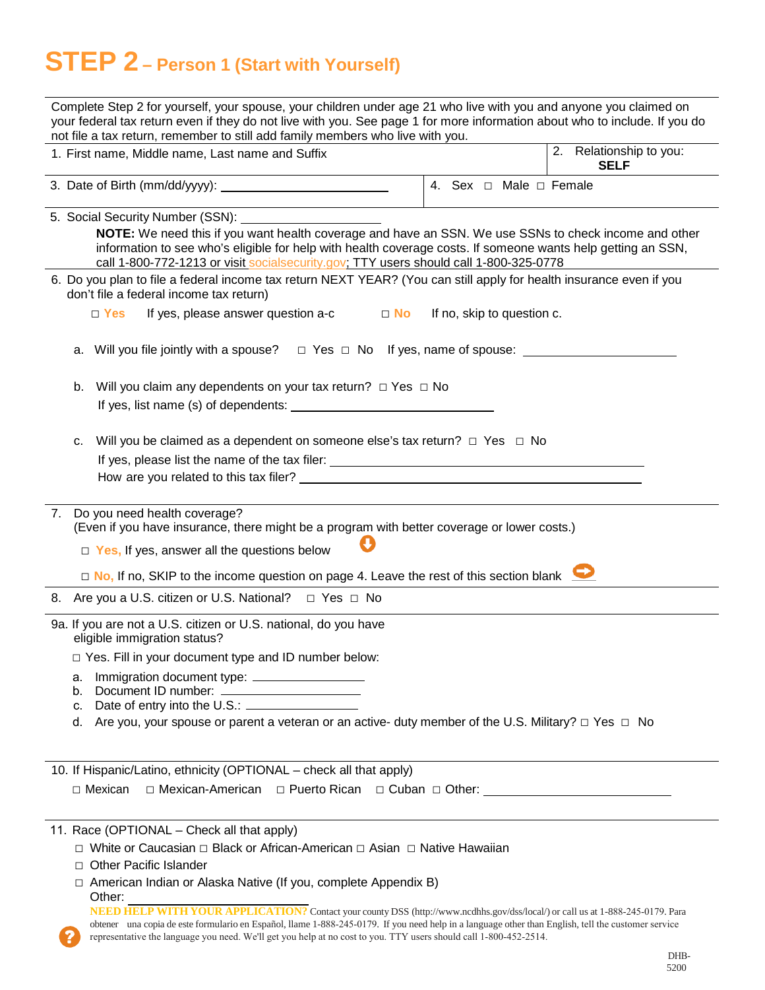# **STEP 2 – Person 1 (Start with Yourself)**

| Complete Step 2 for yourself, your spouse, your children under age 21 who live with you and anyone you claimed on<br>your federal tax return even if they do not live with you. See page 1 for more information about who to include. If you do<br>not file a tax return, remember to still add family members who live with you.                                                                      |
|--------------------------------------------------------------------------------------------------------------------------------------------------------------------------------------------------------------------------------------------------------------------------------------------------------------------------------------------------------------------------------------------------------|
| 2.<br>Relationship to you:<br>1. First name, Middle name, Last name and Suffix<br><b>SELF</b>                                                                                                                                                                                                                                                                                                          |
| 4. Sex $\Box$ Male $\Box$ Female                                                                                                                                                                                                                                                                                                                                                                       |
| 5. Social Security Number (SSN):<br>NOTE: We need this if you want health coverage and have an SSN. We use SSNs to check income and other<br>information to see who's eligible for help with health coverage costs. If someone wants help getting an SSN,<br>call 1-800-772-1213 or visit socialsecurity.gov; TTY users should call 1-800-325-0778                                                     |
| 6. Do you plan to file a federal income tax return NEXT YEAR? (You can still apply for health insurance even if you<br>don't file a federal income tax return)                                                                                                                                                                                                                                         |
| If yes, please answer question a-c<br>$\Box$ No<br>If no, skip to question c.<br>$\Box$ Yes                                                                                                                                                                                                                                                                                                            |
| $\Box$ Yes $\Box$ No If yes, name of spouse: $\Box$<br>a. Will you file jointly with a spouse?                                                                                                                                                                                                                                                                                                         |
| Will you claim any dependents on your tax return? $\Box$ Yes $\Box$ No<br>b.                                                                                                                                                                                                                                                                                                                           |
| Will you be claimed as a dependent on someone else's tax return? $\Box$ Yes $\Box$ No<br>c.<br>How are you related to this tax filer? The contract of the contract of the contract of the contract of the contract of the contract of the contract of the contract of the contract of the contract of the contract of the con                                                                          |
| 7. Do you need health coverage?<br>(Even if you have insurance, there might be a program with better coverage or lower costs.)<br>$\Box$ Yes, If yes, answer all the questions below<br>□ No, If no, SKIP to the income question on page 4. Leave the rest of this section blank                                                                                                                       |
| 8. Are you a U.S. citizen or U.S. National? □ Yes □ No                                                                                                                                                                                                                                                                                                                                                 |
| 9a. If you are not a U.S. citizen or U.S. national, do you have<br>eligible immigration status?<br>□ Yes. Fill in your document type and ID number below:<br>Immigration document type: ____________________<br>а.<br>Document ID number: _________________________<br>b.<br>C.<br>Are you, your spouse or parent a veteran or an active- duty member of the U.S. Military? $\Box$ Yes $\Box$ No<br>d. |
| 10. If Hispanic/Latino, ethnicity (OPTIONAL - check all that apply)<br>□ Mexican<br>□ Mexican-American □ Puerto Rican □ Cuban □ Other: _____________________________                                                                                                                                                                                                                                   |
| 11. Race (OPTIONAL - Check all that apply)<br>□ White or Caucasian □ Black or African-American □ Asian □ Native Hawaiian                                                                                                                                                                                                                                                                               |

- □ Other Pacific Islander
- □ American Indian or Alaska Native (If you, complete Appendix B) Other:

**NEED HELP WITH YOUR APPLICATION?** Contact your county DSS [\(http://www.ncdhhs.gov/dss/local/\)](http://www.ncdhhs.gov/dss/local/)) or call us at 1-888-245-0179. Para obtener una copia de este formulario en Español, llame 1-888-245-0179. If you need help in a language other than English, tell the customer service representative the language you need. We'll get you help at no cost to you. TTY users should call 1-800-452-2514.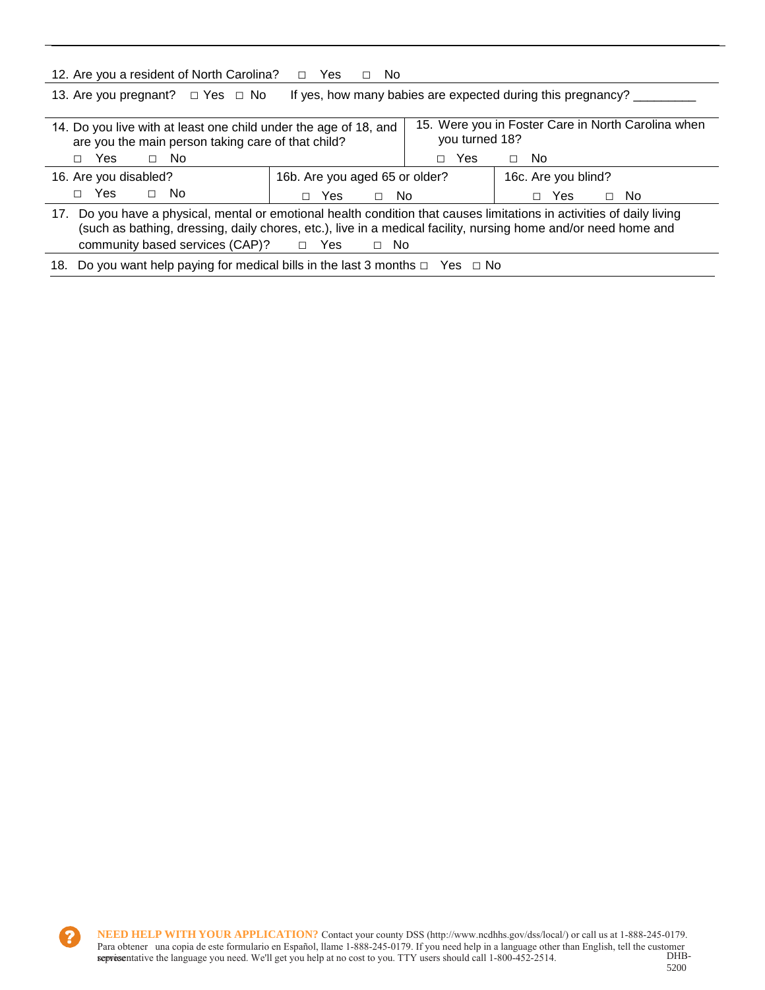| 12. Are you a resident of North Carolina?                                                                                                                                                                                                                                                              | Yes<br>No.<br>$\Box$<br>П.     |                                                                      |               |                |  |  |  |
|--------------------------------------------------------------------------------------------------------------------------------------------------------------------------------------------------------------------------------------------------------------------------------------------------------|--------------------------------|----------------------------------------------------------------------|---------------|----------------|--|--|--|
| If yes, how many babies are expected during this pregnancy?<br>13. Are you pregnant? $\Box$ Yes $\Box$ No                                                                                                                                                                                              |                                |                                                                      |               |                |  |  |  |
| 14. Do you live with at least one child under the age of 18, and<br>are you the main person taking care of that child?                                                                                                                                                                                 |                                | 15. Were you in Foster Care in North Carolina when<br>you turned 18? |               |                |  |  |  |
| Yes<br>$\Box$ No<br>П                                                                                                                                                                                                                                                                                  |                                | <b>Yes</b><br>П                                                      | No.<br>$\Box$ |                |  |  |  |
| 16. Are you disabled?                                                                                                                                                                                                                                                                                  | 16b. Are you aged 65 or older? | 16c. Are you blind?                                                  |               |                |  |  |  |
| Yes.<br>$\Box$ No<br>П.                                                                                                                                                                                                                                                                                | No.<br>Yes.<br>$\Box$          |                                                                      | Yes.          | - No<br>$\Box$ |  |  |  |
| 17. Do you have a physical, mental or emotional health condition that causes limitations in activities of daily living<br>(such as bathing, dressing, daily chores, etc.), live in a medical facility, nursing home and/or need home and<br>community based services $(CAP)?$ $\Box$ Yes<br>- No<br>П. |                                |                                                                      |               |                |  |  |  |
| Do you want help paying for medical bills in the last 3 months $\Box$ Yes $\Box$ No<br>18.                                                                                                                                                                                                             |                                |                                                                      |               |                |  |  |  |

 $\boldsymbol{P}$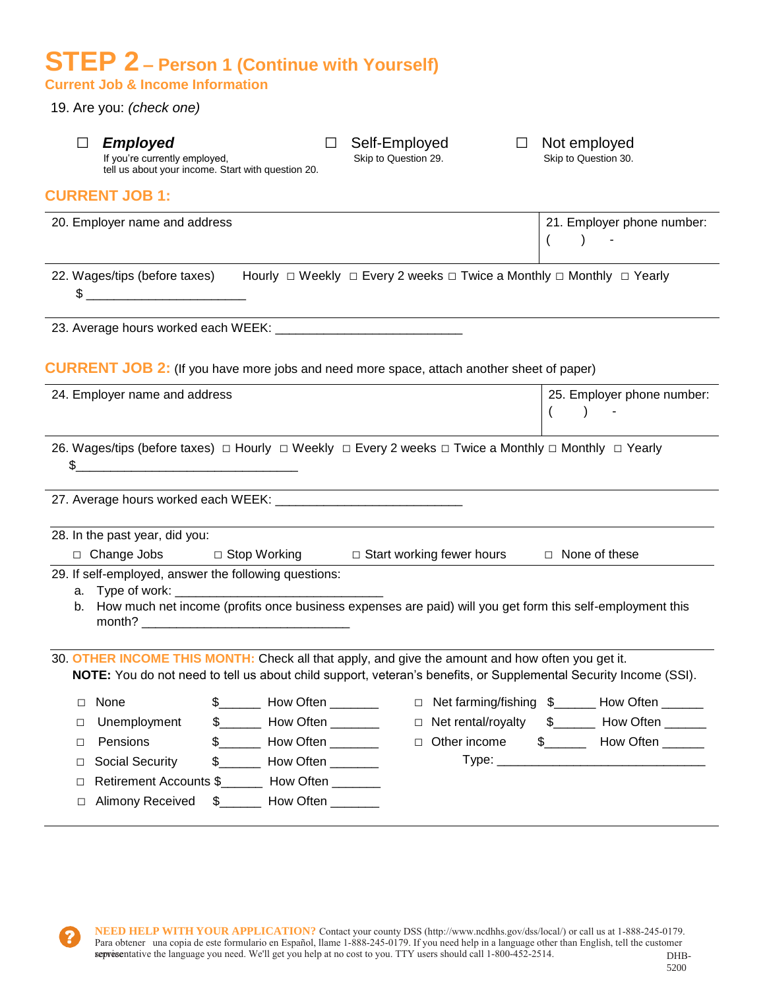## **STEP 2 – Person 1 (Continue with Yourself) Current Job & Income Information**

19. Are you: *(check one)*

| $\Box$ | <b>Employed</b><br>If you're currently employed,                                                                                                                                                                                                                                                                    | tell us about your income. Start with question 20.                                                                                                                    | Self-Employed<br>Skip to Question 29. |                    | Not employed<br>Skip to Question 30. |                                              |
|--------|---------------------------------------------------------------------------------------------------------------------------------------------------------------------------------------------------------------------------------------------------------------------------------------------------------------------|-----------------------------------------------------------------------------------------------------------------------------------------------------------------------|---------------------------------------|--------------------|--------------------------------------|----------------------------------------------|
|        | <b>CURRENT JOB 1:</b>                                                                                                                                                                                                                                                                                               |                                                                                                                                                                       |                                       |                    |                                      |                                              |
|        | 20. Employer name and address                                                                                                                                                                                                                                                                                       |                                                                                                                                                                       |                                       |                    | $\overline{ }$                       | 21. Employer phone number:                   |
|        | $\frac{1}{2}$ $\frac{1}{2}$ $\frac{1}{2}$ $\frac{1}{2}$ $\frac{1}{2}$ $\frac{1}{2}$ $\frac{1}{2}$ $\frac{1}{2}$ $\frac{1}{2}$ $\frac{1}{2}$ $\frac{1}{2}$ $\frac{1}{2}$ $\frac{1}{2}$ $\frac{1}{2}$ $\frac{1}{2}$ $\frac{1}{2}$ $\frac{1}{2}$ $\frac{1}{2}$ $\frac{1}{2}$ $\frac{1}{2}$ $\frac{1}{2}$ $\frac{1}{2}$ | 22. Wages/tips (before taxes) Hourly □ Weekly □ Every 2 weeks □ Twice a Monthly □ Monthly □ Yearly                                                                    |                                       |                    |                                      |                                              |
|        |                                                                                                                                                                                                                                                                                                                     |                                                                                                                                                                       |                                       |                    |                                      |                                              |
|        | 24. Employer name and address                                                                                                                                                                                                                                                                                       | <b>CURRENT JOB 2:</b> (If you have more jobs and need more space, attach another sheet of paper)                                                                      |                                       |                    |                                      | 25. Employer phone number:                   |
|        |                                                                                                                                                                                                                                                                                                                     |                                                                                                                                                                       |                                       |                    |                                      |                                              |
|        | $\sim$                                                                                                                                                                                                                                                                                                              | 26. Wages/tips (before taxes) $\Box$ Hourly $\Box$ Weekly $\Box$ Every 2 weeks $\Box$ Twice a Monthly $\Box$ Monthly $\Box$ Yearly                                    |                                       |                    |                                      |                                              |
|        | 28. In the past year, did you:                                                                                                                                                                                                                                                                                      |                                                                                                                                                                       |                                       |                    |                                      |                                              |
|        |                                                                                                                                                                                                                                                                                                                     | □ Change Jobs □ Stop Working □ Start working fewer hours                                                                                                              |                                       |                    | □ None of these                      |                                              |
|        |                                                                                                                                                                                                                                                                                                                     | 29. If self-employed, answer the following questions:<br>b. How much net income (profits once business expenses are paid) will you get form this self-employment this |                                       |                    |                                      |                                              |
|        |                                                                                                                                                                                                                                                                                                                     | 30. OTHER INCOME THIS MONTH: Check all that apply, and give the amount and how often you get it.                                                                      |                                       |                    |                                      |                                              |
|        |                                                                                                                                                                                                                                                                                                                     | NOTE: You do not need to tell us about child support, veteran's benefits, or Supplemental Security Income (SSI).                                                      |                                       |                    |                                      |                                              |
| □      | None                                                                                                                                                                                                                                                                                                                | How Often                                                                                                                                                             | $\Box$                                |                    |                                      | Net farming/fishing \$______ How Often _____ |
| □      | Unemployment                                                                                                                                                                                                                                                                                                        | $\mathbb{S}$<br>How Often _______                                                                                                                                     | $\Box$                                | Net rental/royalty | $\frac{1}{2}$                        | How Often                                    |
| □      | Pensions                                                                                                                                                                                                                                                                                                            | $\frac{1}{2}$<br>How Often _______                                                                                                                                    | Other income<br>$\Box$                |                    | $\frac{1}{2}$                        | How Often ______                             |
| □      | <b>Social Security</b>                                                                                                                                                                                                                                                                                              | \$<br>How Often _______                                                                                                                                               |                                       |                    |                                      |                                              |
| □      |                                                                                                                                                                                                                                                                                                                     | Retirement Accounts \$_________ How Often ________                                                                                                                    |                                       |                    |                                      |                                              |
| $\Box$ | <b>Alimony Received</b>                                                                                                                                                                                                                                                                                             | \$ How Often                                                                                                                                                          |                                       |                    |                                      |                                              |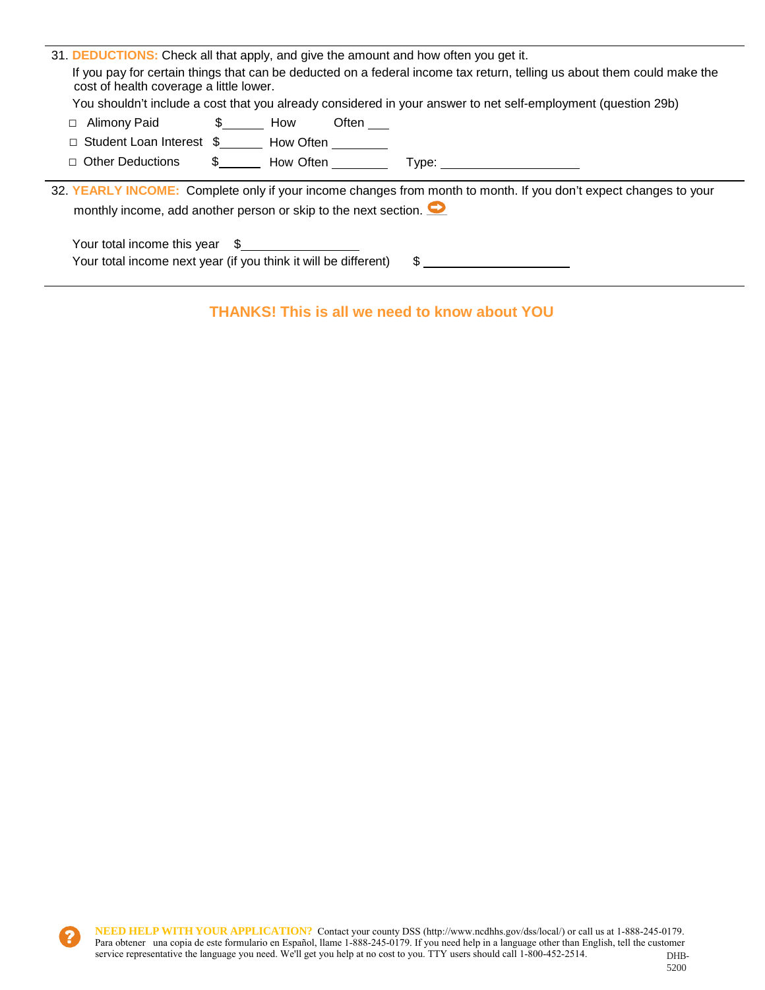| cost of health coverage a little lower.                                                                                                                                                       | 31. <b>DEDUCTIONS:</b> Check all that apply, and give the amount and how often you get it.<br>If you pay for certain things that can be deducted on a federal income tax return, telling us about them could make the<br>You shouldn't include a cost that you already considered in your answer to net self-employment (question 29b) |  |  |  |  |
|-----------------------------------------------------------------------------------------------------------------------------------------------------------------------------------------------|----------------------------------------------------------------------------------------------------------------------------------------------------------------------------------------------------------------------------------------------------------------------------------------------------------------------------------------|--|--|--|--|
| Alimony Paid 5 5 How<br>$\Box$                                                                                                                                                                | Often ____                                                                                                                                                                                                                                                                                                                             |  |  |  |  |
|                                                                                                                                                                                               | Student Loan Interest \$________ How Often ________                                                                                                                                                                                                                                                                                    |  |  |  |  |
| $\Box$ Other Deductions                                                                                                                                                                       | $\frac{1}{2}$ How Often<br>Type: ___________                                                                                                                                                                                                                                                                                           |  |  |  |  |
| 32. YEARLY INCOME: Complete only if your income changes from month to month. If you don't expect changes to your<br>monthly income, add another person or skip to the next section. $\bullet$ |                                                                                                                                                                                                                                                                                                                                        |  |  |  |  |
|                                                                                                                                                                                               | Your total income this year \$<br>Your total income next year (if you think it will be different)<br>\$                                                                                                                                                                                                                                |  |  |  |  |

## **THANKS! This is all we need to know about YOU**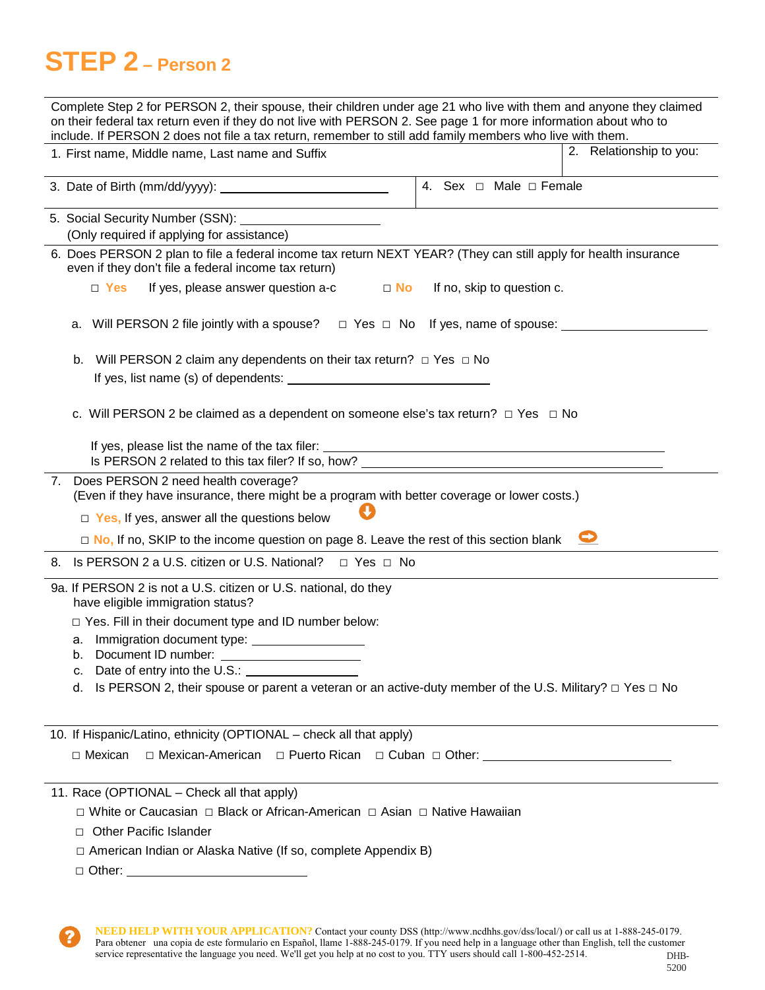# **STEP 2 – Person 2**

7

| Complete Step 2 for PERSON 2, their spouse, their children under age 21 who live with them and anyone they claimed<br>on their federal tax return even if they do not live with PERSON 2. See page 1 for more information about who to<br>include. If PERSON 2 does not file a tax return, remember to still add family members who live with them. |                         |
|-----------------------------------------------------------------------------------------------------------------------------------------------------------------------------------------------------------------------------------------------------------------------------------------------------------------------------------------------------|-------------------------|
| 1. First name, Middle name, Last name and Suffix                                                                                                                                                                                                                                                                                                    | 2. Relationship to you: |
| 4. Sex $\Box$ Male $\Box$ Female                                                                                                                                                                                                                                                                                                                    |                         |
| 5. Social Security Number (SSN): \\connection = \\connection = \\connection = \\connection = \\connection = \\connection = \\connection = \\connection = \\connection = \\connection = \\connection = \\connection = \\connect<br>(Only required if applying for assistance)                                                                        |                         |
| 6. Does PERSON 2 plan to file a federal income tax return NEXT YEAR? (They can still apply for health insurance<br>even if they don't file a federal income tax return)                                                                                                                                                                             |                         |
| $\Box$ Yes<br>If yes, please answer question a-c<br>$\Box$ No<br>If no, skip to question c.                                                                                                                                                                                                                                                         |                         |
| a. Will PERSON 2 file jointly with a spouse? $\Box$ Yes $\Box$ No If yes, name of spouse:                                                                                                                                                                                                                                                           |                         |
| Will PERSON 2 claim any dependents on their tax return? $\Box$ Yes $\Box$ No<br>b.<br>If yes, list name (s) of dependents:                                                                                                                                                                                                                          |                         |
| c. Will PERSON 2 be claimed as a dependent on someone else's tax return? $\Box$ Yes $\Box$ No                                                                                                                                                                                                                                                       |                         |
|                                                                                                                                                                                                                                                                                                                                                     |                         |
| 7. Does PERSON 2 need health coverage?<br>(Even if they have insurance, there might be a program with better coverage or lower costs.)                                                                                                                                                                                                              |                         |
| $\Box$ Yes, If yes, answer all the questions below                                                                                                                                                                                                                                                                                                  |                         |
| $\Box$ No, If no, SKIP to the income question on page 8. Leave the rest of this section blank                                                                                                                                                                                                                                                       |                         |
| 8. Is PERSON 2 a U.S. citizen or U.S. National? □ Yes □ No                                                                                                                                                                                                                                                                                          |                         |
| 9a. If PERSON 2 is not a U.S. citizen or U.S. national, do they<br>have eligible immigration status?                                                                                                                                                                                                                                                |                         |
| $\Box$ Yes. Fill in their document type and ID number below:                                                                                                                                                                                                                                                                                        |                         |
| а.<br>Document ID number:<br>b.                                                                                                                                                                                                                                                                                                                     |                         |
| c. Date of entry into the U.S.: <u>contained</u>                                                                                                                                                                                                                                                                                                    |                         |
| Is PERSON 2, their spouse or parent a veteran or an active-duty member of the U.S. Military? $\Box$ Yes $\Box$ No<br>d.                                                                                                                                                                                                                             |                         |
| 10. If Hispanic/Latino, ethnicity (OPTIONAL - check all that apply)                                                                                                                                                                                                                                                                                 |                         |
| □ Mexican-American □ Puerto Rican □ Cuban □ Other: _____________________________<br>$\Box$ Mexican                                                                                                                                                                                                                                                  |                         |
| 11. Race (OPTIONAL - Check all that apply)                                                                                                                                                                                                                                                                                                          |                         |
| □ White or Caucasian □ Black or African-American □ Asian □ Native Hawaiian                                                                                                                                                                                                                                                                          |                         |
| □ Other Pacific Islander                                                                                                                                                                                                                                                                                                                            |                         |
| $\Box$ American Indian or Alaska Native (If so, complete Appendix B)                                                                                                                                                                                                                                                                                |                         |
|                                                                                                                                                                                                                                                                                                                                                     |                         |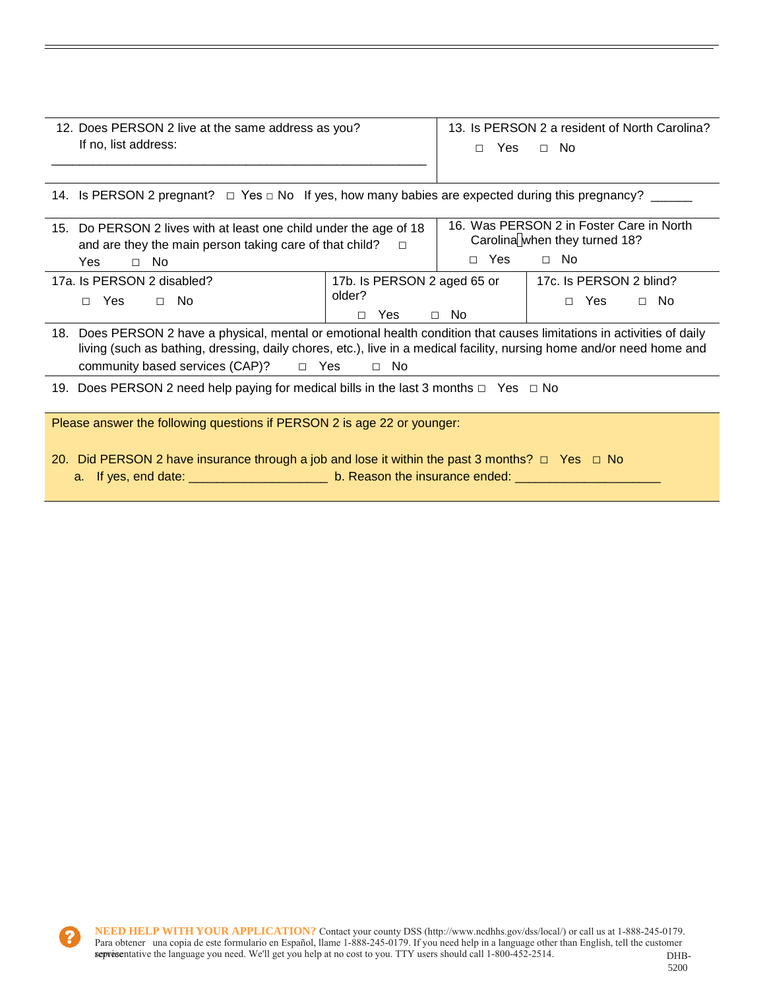| 12. Does PERSON 2 live at the same address as you? | 13. Is PERSON 2 a resident of North Carolina? |  |  |  |  |
|----------------------------------------------------|-----------------------------------------------|--|--|--|--|
| If no, list address:                               | Yes<br>- No<br>П.                             |  |  |  |  |

|  | 14. Is PERSON 2 pregnant? $\Box$ Yes $\Box$ No If yes, how many babies are expected during this pregnancy? |
|--|------------------------------------------------------------------------------------------------------------|
|  |                                                                                                            |

| 15. Do PERSON 2 lives with at least one child under the age of 18<br>and are they the main person taking care of that child? | 16. Was PERSON 2 in Foster Care in North<br>Carolina when they turned 18? |            |                                                  |
|------------------------------------------------------------------------------------------------------------------------------|---------------------------------------------------------------------------|------------|--------------------------------------------------|
| Yes<br>No.<br>$\Box$                                                                                                         |                                                                           | $\Box$ Yes | ⊟ No                                             |
| 17a. Is PERSON 2 disabled?<br>$\Box$ No<br><b>Yes</b>                                                                        | 17b. Is PERSON 2 aged 65 or<br>older?<br>Yes                              | No.        | 17c. Is PERSON 2 blind?<br>- No<br>Yes<br>$\Box$ |

| 18. Does PERSON 2 have a physical, mental or emotional health condition that causes limitations in activities of daily |  |      |  |  |
|------------------------------------------------------------------------------------------------------------------------|--|------|--|--|
| living (such as bathing, dressing, daily chores, etc.), live in a medical facility, nursing home and/or need home and  |  |      |  |  |
| community based services $(CAP)$ ? $\Box$ Yes                                                                          |  | ∩ No |  |  |

19. Does PERSON 2 need help paying for medical bills in the last 3 months  $\Box$  Yes  $\Box$  No

Please answer the following questions if PERSON 2 is age 22 or younger:

- 20. Did PERSON 2 have insurance through a job and lose it within the past 3 months?  $\Box$  Yes  $\Box$  No
	- a. If yes, end date: \_\_\_\_\_\_\_\_\_\_\_\_\_\_\_\_\_\_\_\_\_\_\_\_ b. Reason the insurance ended: \_\_\_\_\_\_\_\_\_\_\_\_\_\_\_\_\_\_\_\_\_\_\_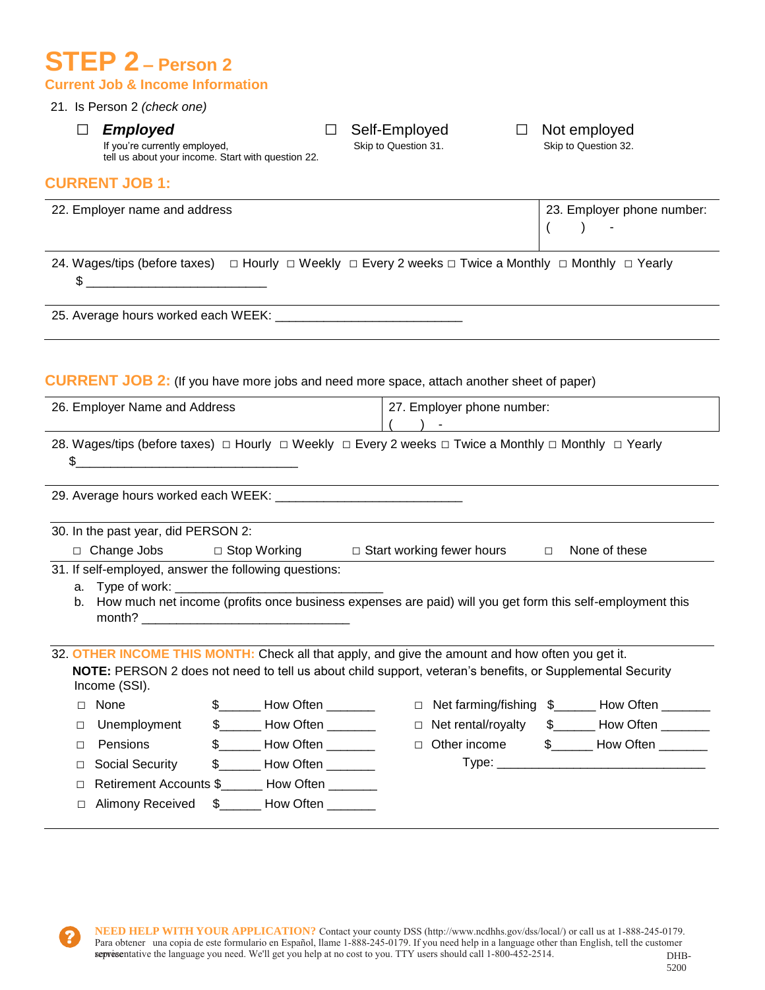## **STEP 2 – Person 2 Current Job & Income Information**

#### 21. Is Person 2 *(check one)*

□ **Employed** □ Self-Employed □ Not employed<br>If you're currently employed, Skip to Question 31. Skip to Question 32.

If you're currently employed, tell us about your income. Start with question 22.

#### **CURRENT JOB 1:**

| 22. Employer name and address | 23. Employer phone number: |
|-------------------------------|----------------------------|
|                               | $\sim$ $\sim$ $\sim$       |

24. Wages/tips (before taxes) □ Hourly □ Weekly □ Every 2 weeks □ Twice a Monthly □ Monthly □ Yearly \$ \_\_\_\_\_\_\_\_\_\_\_\_\_\_\_\_\_\_\_\_\_\_\_\_\_\_

25. Average hours worked each WEEK: \_\_\_\_\_\_\_\_\_\_\_\_\_\_\_\_\_\_\_\_\_\_\_\_\_\_\_

#### **CURRENT JOB 2:** (If you have more jobs and need more space, attach another sheet of paper)

| 26. Employer Name and Address |                                                                                                                                    |  | 27. Employer phone number:              |  |        |                                  |        |                                                                                                              |
|-------------------------------|------------------------------------------------------------------------------------------------------------------------------------|--|-----------------------------------------|--|--------|----------------------------------|--------|--------------------------------------------------------------------------------------------------------------|
|                               |                                                                                                                                    |  |                                         |  |        |                                  |        |                                                                                                              |
|                               | 28. Wages/tips (before taxes) $\Box$ Hourly $\Box$ Weekly $\Box$ Every 2 weeks $\Box$ Twice a Monthly $\Box$ Monthly $\Box$ Yearly |  |                                         |  |        |                                  |        |                                                                                                              |
| \$                            | <u> 1980 - John Stein, Amerikaansk politiker (</u>                                                                                 |  |                                         |  |        |                                  |        |                                                                                                              |
|                               |                                                                                                                                    |  |                                         |  |        |                                  |        |                                                                                                              |
|                               | 30. In the past year, did PERSON 2:                                                                                                |  |                                         |  |        |                                  |        |                                                                                                              |
|                               | □ Change Jobs                                                                                                                      |  | □ Stop Working                          |  |        | $\Box$ Start working fewer hours | $\Box$ | None of these                                                                                                |
|                               | 31. If self-employed, answer the following questions:                                                                              |  |                                         |  |        |                                  |        |                                                                                                              |
|                               |                                                                                                                                    |  |                                         |  |        |                                  |        |                                                                                                              |
|                               | month?                                                                                                                             |  |                                         |  |        |                                  |        | b. How much net income (profits once business expenses are paid) will you get form this self-employment this |
|                               | 32. OTHER INCOME THIS MONTH: Check all that apply, and give the amount and how often you get it.                                   |  |                                         |  |        |                                  |        |                                                                                                              |
|                               | NOTE: PERSON 2 does not need to tell us about child support, veteran's benefits, or Supplemental Security<br>Income (SSI).         |  |                                         |  |        |                                  |        |                                                                                                              |
| $\Box$                        | None                                                                                                                               |  | \$ _____ How Often ________             |  | $\Box$ |                                  |        | Net farming/fishing \$______ How Often ______                                                                |
| $\Box$                        | Unemployment                                                                                                                       |  | $$$ <sub>______</sub> How Often _______ |  | $\Box$ | Net rental/royalty               |        | \$________ How Often _______                                                                                 |
| п                             | Pensions                                                                                                                           |  | $\frac{1}{2}$ How Often _________       |  | $\Box$ |                                  |        |                                                                                                              |
| $\Box$                        | Social Security                                                                                                                    |  | \$________ How Often _______            |  |        |                                  |        |                                                                                                              |
| П                             | Retirement Accounts \$_______ How Often _______                                                                                    |  |                                         |  |        |                                  |        |                                                                                                              |
| □                             | <b>Alimony Received</b>                                                                                                            |  | \$ How Often                            |  |        |                                  |        |                                                                                                              |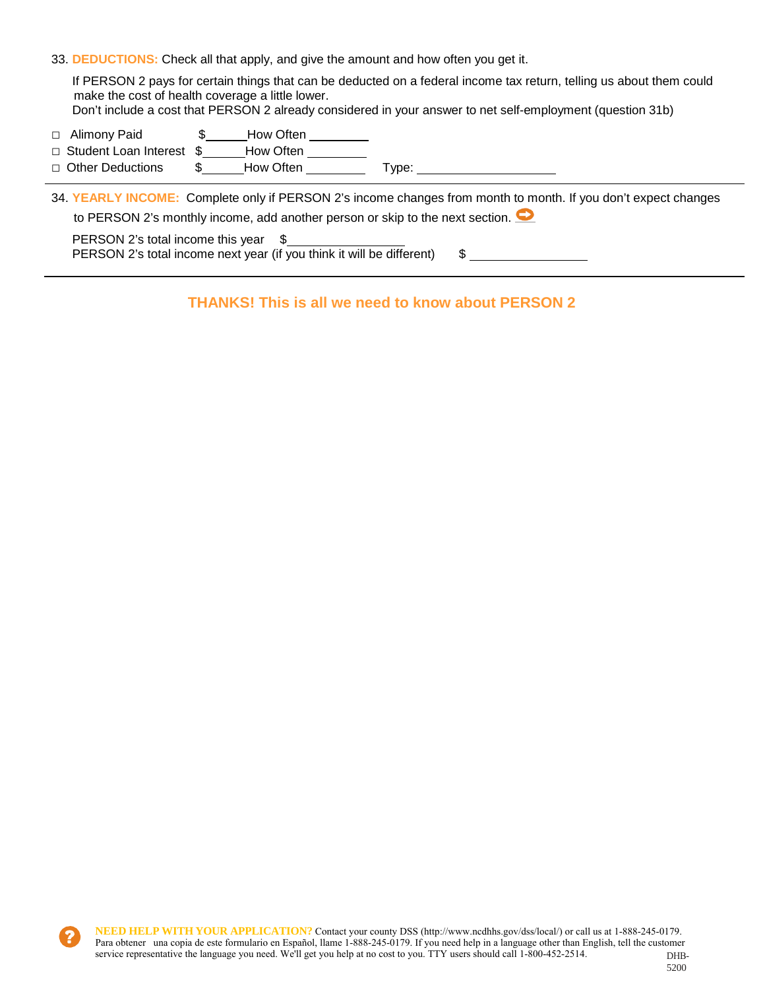33. **DEDUCTIONS:** Check all that apply, and give the amount and how often you get it.

If PERSON 2 pays for certain things that can be deducted on a federal income tax return, telling us about them could make the cost of health coverage a little lower.

- Don't include a cost that PERSON 2 already considered in your answer to net self-employment (question 31b)
- □ Alimony Paid **\$** How Often
- □ Student Loan Interest \$ How Often
- □ Other Deductions \$ How Often Type:

34. **YEARLY INCOME:** Complete only if PERSON 2's income changes from month to month. If you don't expect changes to PERSON 2's monthly income, add another person or skip to the next section.

PERSON 2's total income this year \$ PERSON 2's total income next year (if you think it will be different) \$

**THANKS! This is all we need to know about PERSON 2**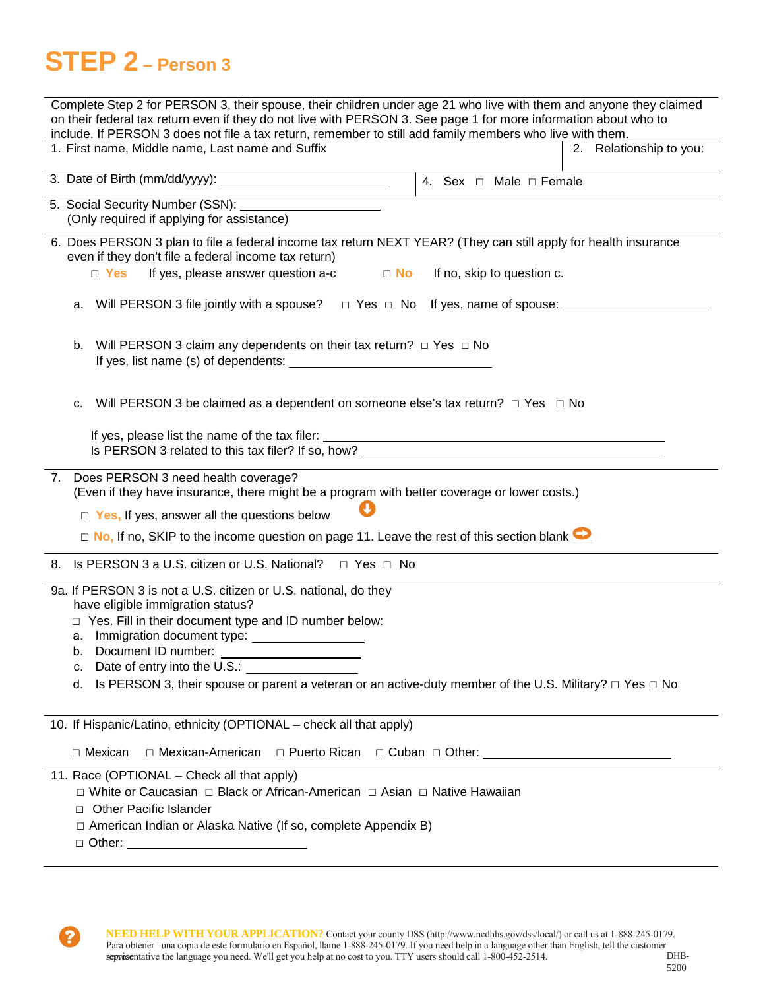# **STEP 2 – Person 3**

 $\overline{r}$ 

| Complete Step 2 for PERSON 3, their spouse, their children under age 21 who live with them and anyone they claimed<br>on their federal tax return even if they do not live with PERSON 3. See page 1 for more information about who to<br>include. If PERSON 3 does not file a tax return, remember to still add family members who live with them. |                         |
|-----------------------------------------------------------------------------------------------------------------------------------------------------------------------------------------------------------------------------------------------------------------------------------------------------------------------------------------------------|-------------------------|
| 1. First name, Middle name, Last name and Suffix<br><u> 1989 - Johann Barn, amerikansk politiker (</u>                                                                                                                                                                                                                                              | 2. Relationship to you: |
| 4. Sex $\Box$ Male $\Box$ Female                                                                                                                                                                                                                                                                                                                    |                         |
| (Only required if applying for assistance)                                                                                                                                                                                                                                                                                                          |                         |
| 6. Does PERSON 3 plan to file a federal income tax return NEXT YEAR? (They can still apply for health insurance<br>even if they don't file a federal income tax return)                                                                                                                                                                             |                         |
| If yes, please answer question a-c<br>$\Box$ Yes<br>If no, skip to question c.<br>$\Box$ No                                                                                                                                                                                                                                                         |                         |
| a. Will PERSON 3 file jointly with a spouse? $\Box$ Yes $\Box$ No If yes, name of spouse: $\Box$                                                                                                                                                                                                                                                    |                         |
| Will PERSON 3 claim any dependents on their tax return? $\Box$ Yes $\Box$ No<br>b.                                                                                                                                                                                                                                                                  |                         |
| Will PERSON 3 be claimed as a dependent on someone else's tax return? $\Box$ Yes $\Box$ No<br>c.                                                                                                                                                                                                                                                    |                         |
|                                                                                                                                                                                                                                                                                                                                                     |                         |
| 7. Does PERSON 3 need health coverage?<br>(Even if they have insurance, there might be a program with better coverage or lower costs.)                                                                                                                                                                                                              |                         |
| $\Box$ Yes, If yes, answer all the questions below                                                                                                                                                                                                                                                                                                  |                         |
| $\Box$ No, If no, SKIP to the income question on page 11. Leave the rest of this section blank $\Box$                                                                                                                                                                                                                                               |                         |
| 8. Is PERSON 3 a U.S. citizen or U.S. National? □ Yes □ No                                                                                                                                                                                                                                                                                          |                         |
| 9a. If PERSON 3 is not a U.S. citizen or U.S. national, do they<br>have eligible immigration status?                                                                                                                                                                                                                                                |                         |
| □ Yes. Fill in their document type and ID number below:                                                                                                                                                                                                                                                                                             |                         |
| Document ID number:<br>b.                                                                                                                                                                                                                                                                                                                           |                         |
| Date of entry into the U.S.:<br>c.                                                                                                                                                                                                                                                                                                                  |                         |
| Is PERSON 3, their spouse or parent a veteran or an active-duty member of the U.S. Military? $\Box$ Yes $\Box$ No<br>d.                                                                                                                                                                                                                             |                         |
| 10. If Hispanic/Latino, ethnicity (OPTIONAL - check all that apply)                                                                                                                                                                                                                                                                                 |                         |
| □ Mexican-American<br>□ Mexican                                                                                                                                                                                                                                                                                                                     |                         |
| 11. Race (OPTIONAL - Check all that apply)<br>□ White or Caucasian □ Black or African-American □ Asian □ Native Hawaiian                                                                                                                                                                                                                            |                         |
| <b>Other Pacific Islander</b><br>П.                                                                                                                                                                                                                                                                                                                 |                         |
| □ American Indian or Alaska Native (If so, complete Appendix B)<br>□ Other: _________________________________                                                                                                                                                                                                                                       |                         |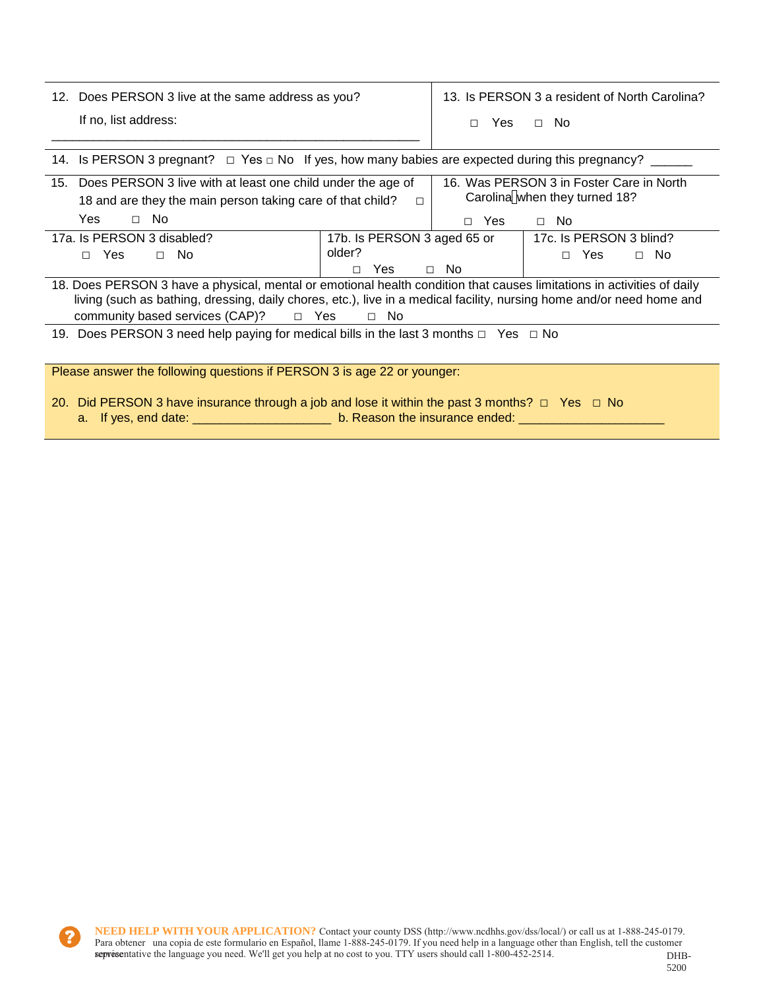| 12. Does PERSON 3 live at the same address as you?                                                          | 13. Is PERSON 3 a resident of North Carolina? |      |      |  |
|-------------------------------------------------------------------------------------------------------------|-----------------------------------------------|------|------|--|
| If no, list address:                                                                                        | П.                                            | Yes. | — No |  |
|                                                                                                             |                                               |      |      |  |
| 14. Is PERSON 3 pregnant? $\Box$ Yes $\Box$ No. If yes, how many babies are expected during this pregnancy? |                                               |      |      |  |

| $\sim$ . The set of the programs $\sim$ 100 $\pm$ 100 $\pm$ 100 $\pm$ 100 $\pm$ 100 $\pm$ 100 $\pm$ 100 $\pm$ 100 $\pm$ 100 $\pm$ 100 $\pm$ 100 $\pm$ 100 $\pm$ 100 $\pm$ 100 $\pm$ 100 $\pm$ 100 $\pm$ 100 $\pm$ 100 $\pm$ 100 $\pm$ 100 $\pm$ 100 |                                          |           |                               |  |
|-----------------------------------------------------------------------------------------------------------------------------------------------------------------------------------------------------------------------------------------------------|------------------------------------------|-----------|-------------------------------|--|
| 15. Does PERSON 3 live with at least one child under the age of                                                                                                                                                                                     | 16. Was PERSON 3 in Foster Care in North |           |                               |  |
| 18 and are they the main person taking care of that child?                                                                                                                                                                                          | П                                        |           | Carolina when they turned 18? |  |
| Yes<br>No.<br>$\Box$                                                                                                                                                                                                                                |                                          | Yes<br>Π. | $\Box$ No                     |  |
| 17a. Is PERSON 3 disabled?                                                                                                                                                                                                                          | 17b. Is PERSON 3 aged 65 or              |           | 17c. Is PERSON 3 blind?       |  |
| <b>Yes</b><br>$\Box$ No<br>$\Box$                                                                                                                                                                                                                   | older?                                   |           | Yes<br>$\Box$ No<br>П.        |  |
|                                                                                                                                                                                                                                                     | Yes<br>П.                                | $\Box$ No |                               |  |
| 18. Does PERSON 3 have a physical, mental or emotional health condition that causes limitations in activities of daily<br>living (such as bathing, dressing, daily chores, etc.), live in a medical facility, nursing home and/or need home and     |                                          |           |                               |  |
| community based services $(CAP)?$ $\Box$ Yes                                                                                                                                                                                                        | $\Box$ No                                |           |                               |  |
| 19. Does PERSON 3 need help paying for medical bills in the last 3 months $\Box$ Yes $\Box$ No                                                                                                                                                      |                                          |           |                               |  |
| Please answer the following questions if PERSON 3 is age 22 or younger:                                                                                                                                                                             |                                          |           |                               |  |

20. Did PERSON 3 have insurance through a job and lose it within the past 3 months? □ Yes □ No a. If yes, end date: \_\_\_\_\_\_\_\_\_\_\_\_\_\_\_\_\_\_\_\_\_\_\_\_\_\_ b. Reason the insurance ended: \_\_\_\_\_\_\_\_\_\_\_\_\_\_\_\_\_\_\_\_\_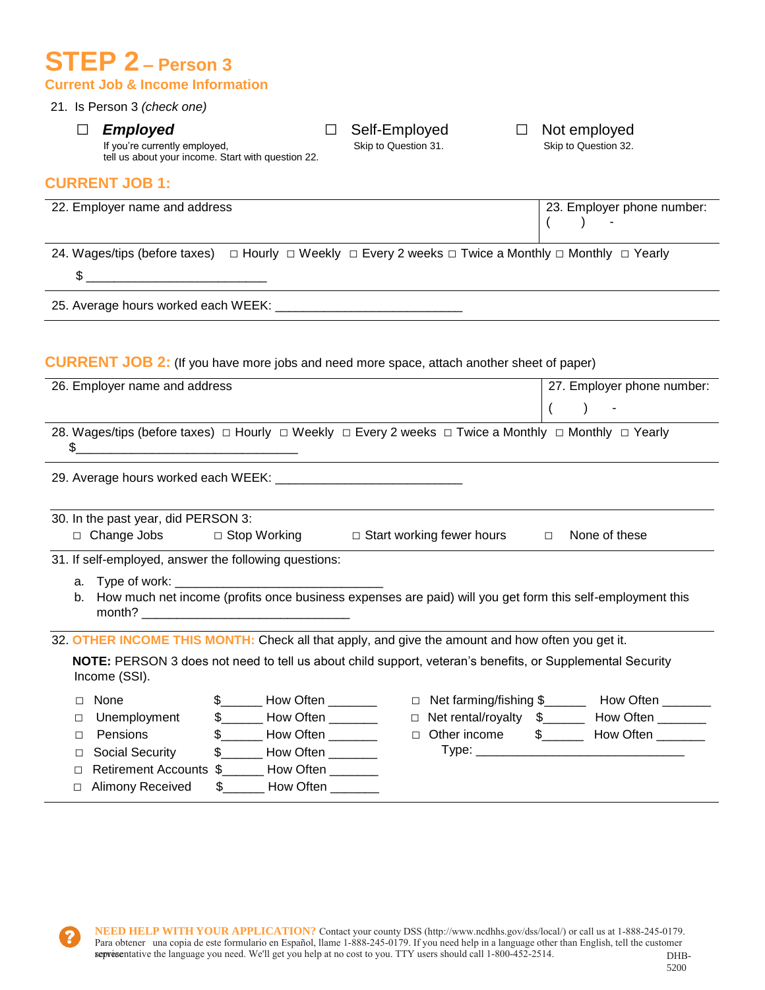## **STEP 2 – Person 3 Current Job & Income Information**

## 21. Is Person 3 *(check one)*



If you're currently employed, tell us about your income. Start with question 22.

#### **CURRENT JOB 1:**

| 22. Employer name and address                                                                                                      |                             | 23. Employer phone number: |
|------------------------------------------------------------------------------------------------------------------------------------|-----------------------------|----------------------------|
| 24. Wages/tips (before taxes) $\Box$ Hourly $\Box$ Weekly $\Box$ Every 2 weeks $\Box$ Twice a Monthly $\Box$ Monthly $\Box$ Yearly |                             |                            |
|                                                                                                                                    |                             |                            |
|                                                                                                                                    |                             |                            |
| <b>CURRENT JOB 2:</b> (If you have more jobs and need more space, attach another sheet of paper)                                   |                             |                            |
| 26. Employer name and address                                                                                                      |                             | 27. Employer phone number: |
|                                                                                                                                    |                             |                            |
| 28. Wages/tips (before taxes) □ Hourly □ Weekly □ Every 2 weeks □ Twice a Monthly □ Monthly □ Yearly<br>\$                         |                             |                            |
|                                                                                                                                    |                             |                            |
| 30. In the past year, did PERSON 3:                                                                                                |                             |                            |
| □ Change Jobs □ Stop Working                                                                                                       | □ Start working fewer hours | None of these<br>$\Box$    |
| 31. If self-employed, answer the following questions:                                                                              |                             |                            |
| al buyyan da bayan karafita ana bunan asa amanan ana na dulu wa matifama thia a di ana da mana da tina                             |                             |                            |

b. How much net income (profits once business expenses are paid) will you get form this self-employment this month?

32. **OTHER INCOME THIS MONTH:** Check all that apply, and give the amount and how often you get it.

**NOTE:** PERSON 3 does not need to tell us about child support, veteran's benefits, or Supplemental Security Income (SSI).

| None                     |    | How Often |
|--------------------------|----|-----------|
| □ Unemployment           |    | How Often |
| Pensions                 | S. | How Often |
| □ Social Security        |    | How Often |
| □ Retirement Accounts \$ |    | How Often |
| □ Alimony Received       |    | How Often |
|                          |    |           |

- □ Net farming/fishing \$\_\_\_\_\_\_\_ How Often \_\_\_\_\_\_\_ □ Net rental/royalty \$\_\_\_\_\_\_ How Often \_\_\_\_\_\_\_
- □ Other income \$ How Often \_\_\_\_\_\_ Type: \_\_\_\_\_\_\_\_\_\_\_\_\_\_\_\_\_\_\_\_\_\_\_\_\_\_\_\_\_\_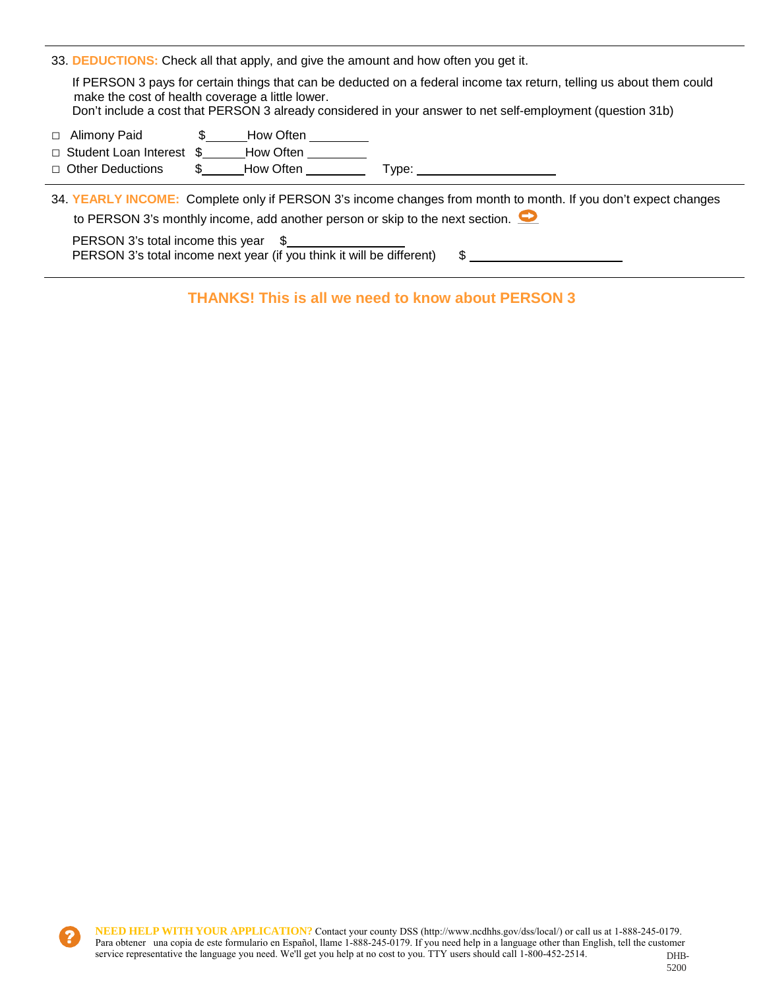33. **DEDUCTIONS:** Check all that apply, and give the amount and how often you get it.

If PERSON 3 pays for certain things that can be deducted on a federal income tax return, telling us about them could make the cost of health coverage a little lower.

Don't include a cost that PERSON 3 already considered in your answer to net self-employment (question 31b)

- □ Alimony Paid **\$** How Often
- □ Student Loan Interest \$ How Often
- □ Other Deductions \$ How Often Type:

34. **YEARLY INCOME:** Complete only if PERSON 3's income changes from month to month. If you don't expect changes to PERSON 3's monthly income, add another person or skip to the next section.  $\bullet$ 

PERSON 3's total income this year \$ PERSON 3's total income next year (if you think it will be different) \$

**THANKS! This is all we need to know about PERSON 3**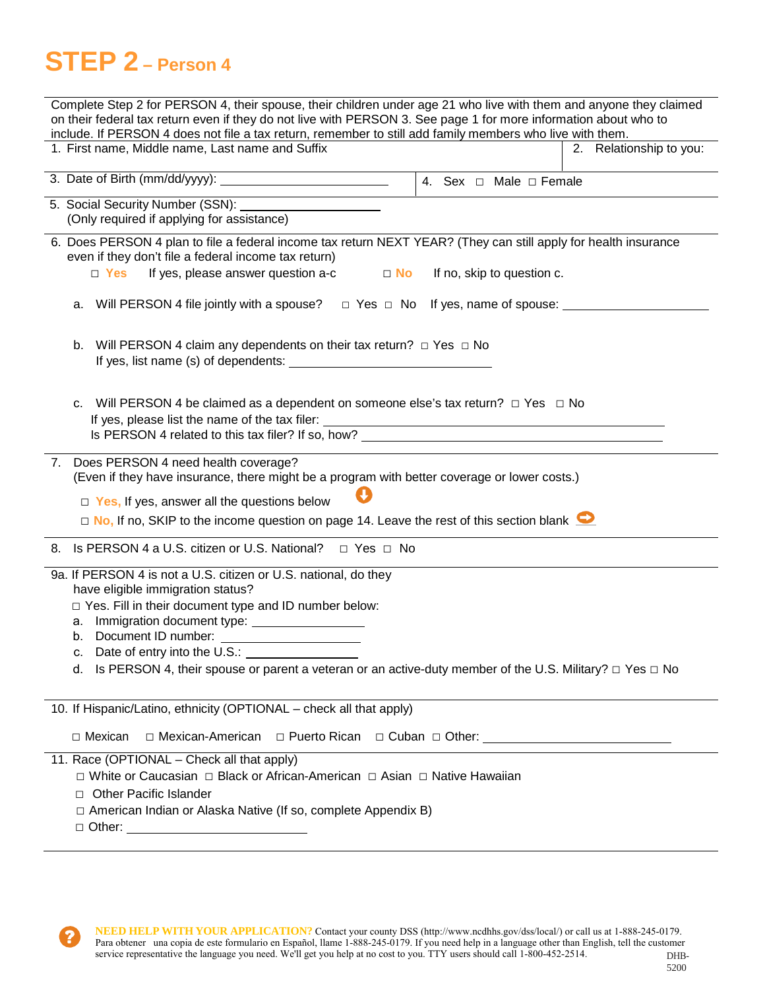# **STEP 2 – Person 4**

| Complete Step 2 for PERSON 4, their spouse, their children under age 21 who live with them and anyone they claimed                                                                       |                                  |  |  |  |
|------------------------------------------------------------------------------------------------------------------------------------------------------------------------------------------|----------------------------------|--|--|--|
| on their federal tax return even if they do not live with PERSON 3. See page 1 for more information about who to                                                                         |                                  |  |  |  |
| include. If PERSON 4 does not file a tax return, remember to still add family members who live with them.<br>1. First name, Middle name, Last name and Suffix<br>2. Relationship to you: |                                  |  |  |  |
|                                                                                                                                                                                          |                                  |  |  |  |
|                                                                                                                                                                                          | 4. Sex $\Box$ Male $\Box$ Female |  |  |  |
| 5. Social Security Number (SSN): _______________________                                                                                                                                 |                                  |  |  |  |
| (Only required if applying for assistance)                                                                                                                                               |                                  |  |  |  |
| 6. Does PERSON 4 plan to file a federal income tax return NEXT YEAR? (They can still apply for health insurance                                                                          |                                  |  |  |  |
| even if they don't file a federal income tax return)<br>If yes, please answer question a-c<br>$\Box$ Yes<br>$\Box$ No                                                                    | If no, skip to question c.       |  |  |  |
|                                                                                                                                                                                          |                                  |  |  |  |
| Will PERSON 4 file jointly with a spouse? $\Box$ Yes $\Box$ No If yes, name of spouse: $\Box$<br>а.                                                                                      |                                  |  |  |  |
|                                                                                                                                                                                          |                                  |  |  |  |
| Will PERSON 4 claim any dependents on their tax return? $\Box$ Yes $\Box$ No<br>b.                                                                                                       |                                  |  |  |  |
|                                                                                                                                                                                          |                                  |  |  |  |
|                                                                                                                                                                                          |                                  |  |  |  |
|                                                                                                                                                                                          |                                  |  |  |  |
| Will PERSON 4 be claimed as a dependent on someone else's tax return? $\Box$ Yes $\Box$ No<br>c.                                                                                         |                                  |  |  |  |
|                                                                                                                                                                                          |                                  |  |  |  |
|                                                                                                                                                                                          |                                  |  |  |  |
| 7. Does PERSON 4 need health coverage?                                                                                                                                                   |                                  |  |  |  |
| (Even if they have insurance, there might be a program with better coverage or lower costs.)                                                                                             |                                  |  |  |  |
| $\Box$ Yes, If yes, answer all the questions below                                                                                                                                       |                                  |  |  |  |
| $\Box$ No, If no, SKIP to the income question on page 14. Leave the rest of this section blank $\Box$                                                                                    |                                  |  |  |  |
| 8. Is PERSON 4 a U.S. citizen or U.S. National?<br>□ Yes □ No                                                                                                                            |                                  |  |  |  |
| 9a. If PERSON 4 is not a U.S. citizen or U.S. national, do they                                                                                                                          |                                  |  |  |  |
| have eligible immigration status?                                                                                                                                                        |                                  |  |  |  |
| □ Yes. Fill in their document type and ID number below:                                                                                                                                  |                                  |  |  |  |
|                                                                                                                                                                                          |                                  |  |  |  |
| b. Document ID number:                                                                                                                                                                   |                                  |  |  |  |
| c. Date of entry into the U.S.:                                                                                                                                                          |                                  |  |  |  |
| d. Is PERSON 4, their spouse or parent a veteran or an active-duty member of the U.S. Military? $\Box$ Yes $\Box$ No                                                                     |                                  |  |  |  |
|                                                                                                                                                                                          |                                  |  |  |  |
| 10. If Hispanic/Latino, ethnicity (OPTIONAL - check all that apply)                                                                                                                      |                                  |  |  |  |
| □ Mexican<br>□ Mexican-American                                                                                                                                                          |                                  |  |  |  |
| 11. Race (OPTIONAL – Check all that apply)                                                                                                                                               |                                  |  |  |  |
| □ White or Caucasian □ Black or African-American □ Asian □ Native Hawaiian                                                                                                               |                                  |  |  |  |
| <b>Other Pacific Islander</b>                                                                                                                                                            |                                  |  |  |  |

- □ American Indian or Alaska Native (If so, complete Appendix B)
- □ Other: <u>\_\_\_\_\_\_</u>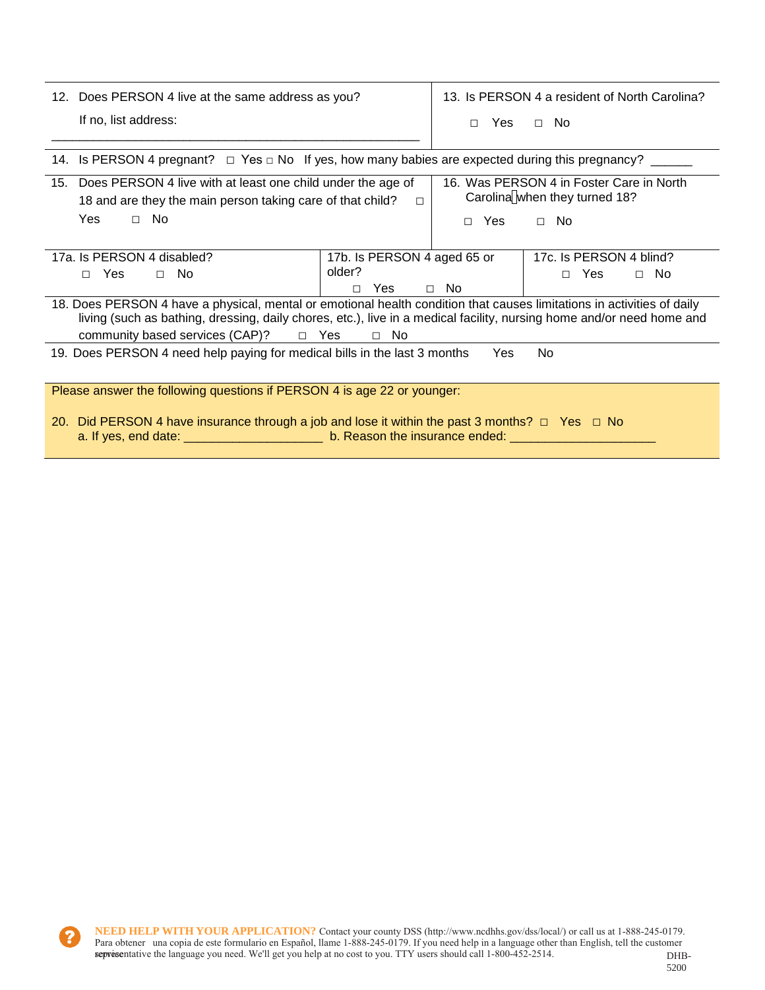| 12. Does PERSON 4 live at the same address as you? | 13. Is PERSON 4 a resident of North Carolina?                                                                   |  |  |
|----------------------------------------------------|-----------------------------------------------------------------------------------------------------------------|--|--|
| If no, list address:                               | □ Yes □ No                                                                                                      |  |  |
|                                                    |                                                                                                                 |  |  |
|                                                    | 14. Is PERSON 4 pregnant? $\Box$ Yes $\Box$ No If yes, how many babies are expected during this pregnancy? ____ |  |  |

| 15. Does PERSON 4 live with at least one child under the age of<br>18 and are they the main person taking care of that child?                                                                                                                   | 16. Was PERSON 4 in Foster Care in North<br>Carolina when they turned 18? |                 |                         |  |
|-------------------------------------------------------------------------------------------------------------------------------------------------------------------------------------------------------------------------------------------------|---------------------------------------------------------------------------|-----------------|-------------------------|--|
| Yes<br>$\Box$ No                                                                                                                                                                                                                                |                                                                           | <b>Yes</b><br>п | $\Box$ No               |  |
|                                                                                                                                                                                                                                                 |                                                                           |                 |                         |  |
| 17a. Is PERSON 4 disabled?                                                                                                                                                                                                                      | 17b. Is PERSON 4 aged 65 or                                               |                 | 17c. Is PERSON 4 blind? |  |
| Yes<br>$\Box$ No<br>П.                                                                                                                                                                                                                          | older?                                                                    |                 | Yes<br>$\Box$ No<br>П.  |  |
|                                                                                                                                                                                                                                                 | Yes<br>П                                                                  | $\Box$ No       |                         |  |
| 18. Does PERSON 4 have a physical, mental or emotional health condition that causes limitations in activities of daily<br>living (such as bathing, dressing, daily chores, etc.), live in a medical facility, nursing home and/or need home and |                                                                           |                 |                         |  |
| community based services (CAP)?<br>□ Yes                                                                                                                                                                                                        | $\Box$ No                                                                 |                 |                         |  |
| 19. Does PERSON 4 need help paying for medical bills in the last 3 months                                                                                                                                                                       |                                                                           | Yes             | No.                     |  |
|                                                                                                                                                                                                                                                 |                                                                           |                 |                         |  |
| Please answer the following questions if PERSON 4 is age 22 or younger:                                                                                                                                                                         |                                                                           |                 |                         |  |

20. Did PERSON 4 have insurance through a job and lose it within the past 3 months?  $\Box$  Yes  $\Box$  No a. If yes, end date: \_\_\_\_\_\_\_\_\_\_\_\_\_\_\_\_\_\_\_\_ b. Reason the insurance ended: \_\_\_\_\_\_\_\_\_\_\_\_\_\_\_\_\_\_\_\_\_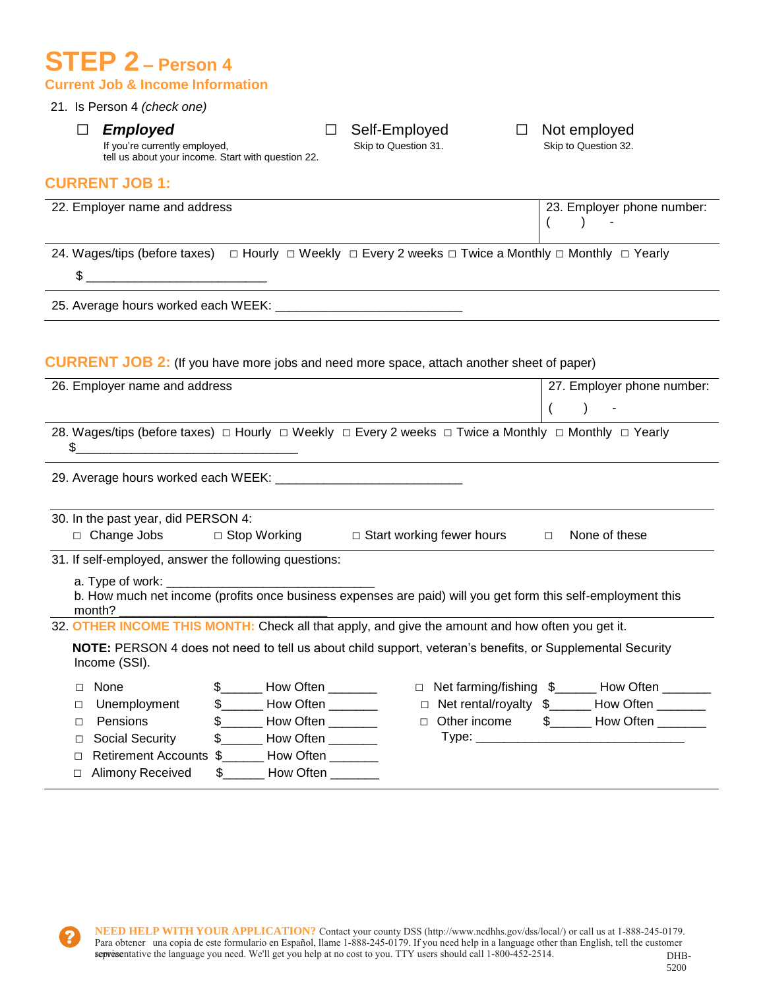## **STEP 2 – Person 4 Current Job & Income Information**

tell us about your income. Start with question 22.

### 21. Is Person 4 *(check one)*

## If you're currently employed,

**CURRENT JOB 1:** 



| 22. Employer name and address                         |                                                                                                                                    |                                  | 23. Employer phone number:                                                                                                         |
|-------------------------------------------------------|------------------------------------------------------------------------------------------------------------------------------------|----------------------------------|------------------------------------------------------------------------------------------------------------------------------------|
| 24. Wages/tips (before taxes)                         | $\Box$ Hourly $\Box$ Weekly $\Box$ Every 2 weeks $\Box$ Twice a Monthly $\Box$ Monthly $\Box$ Yearly                               |                                  |                                                                                                                                    |
|                                                       |                                                                                                                                    |                                  |                                                                                                                                    |
|                                                       |                                                                                                                                    |                                  |                                                                                                                                    |
|                                                       | <b>CURRENT JOB 2:</b> (If you have more jobs and need more space, attach another sheet of paper)                                   |                                  |                                                                                                                                    |
| 26. Employer name and address                         |                                                                                                                                    |                                  | 27. Employer phone number:                                                                                                         |
|                                                       |                                                                                                                                    |                                  | $\overline{(}$<br>$\lambda$                                                                                                        |
|                                                       | 28. Wages/tips (before taxes) $\Box$ Hourly $\Box$ Weekly $\Box$ Every 2 weeks $\Box$ Twice a Monthly $\Box$ Monthly $\Box$ Yearly |                                  |                                                                                                                                    |
| \$                                                    | $\overline{\phantom{a}}$                                                                                                           |                                  |                                                                                                                                    |
|                                                       |                                                                                                                                    |                                  |                                                                                                                                    |
|                                                       |                                                                                                                                    |                                  |                                                                                                                                    |
|                                                       |                                                                                                                                    |                                  |                                                                                                                                    |
|                                                       |                                                                                                                                    |                                  |                                                                                                                                    |
| □ Change Jobs                                         | □ Stop Working                                                                                                                     | $\Box$ Start working fewer hours | None of these<br>$\Box$                                                                                                            |
| 30. In the past year, did PERSON 4:                   |                                                                                                                                    |                                  |                                                                                                                                    |
|                                                       |                                                                                                                                    |                                  |                                                                                                                                    |
| a. Type of work:                                      | b. How much net income (profits once business expenses are paid) will you get form this self-employment this                       |                                  |                                                                                                                                    |
| month?                                                |                                                                                                                                    |                                  |                                                                                                                                    |
| 31. If self-employed, answer the following questions: | 32. OTHER INCOME THIS MONTH: Check all that apply, and give the amount and how often you get it.                                   |                                  |                                                                                                                                    |
| Income (SSI).                                         | NOTE: PERSON 4 does not need to tell us about child support, veteran's benefits, or Supplemental Security                          |                                  |                                                                                                                                    |
| None<br>$\Box$                                        | $\frac{1}{2}$ How Often _________                                                                                                  |                                  |                                                                                                                                    |
| Unemployment<br>$\Box$                                | \$ ________ How Often ________                                                                                                     |                                  |                                                                                                                                    |
| Pensions<br>□                                         | \$________ How Often ________                                                                                                      | $\Box$ Other income              |                                                                                                                                    |
| <b>Social Security</b><br>$\Box$                      | $\frac{1}{2}$ How Often                                                                                                            |                                  |                                                                                                                                    |
| п                                                     | Retirement Accounts \$______ How Often _______                                                                                     |                                  | □ Net farming/fishing \$______ How Often ______<br>□ Net rental/royalty \$______ How Often _______<br>\$________ How Often _______ |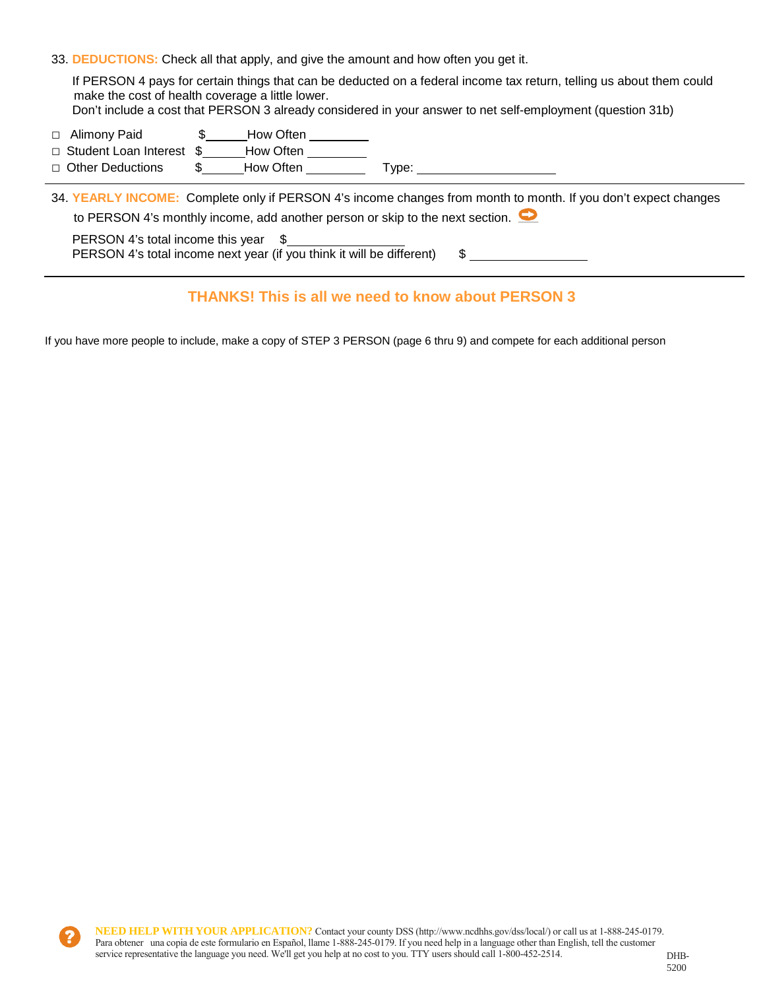33. **DEDUCTIONS:** Check all that apply, and give the amount and how often you get it.

If PERSON 4 pays for certain things that can be deducted on a federal income tax return, telling us about them could make the cost of health coverage a little lower. Don't include a cost that PERSON 3 already considered in your answer to net self-employment (question 31b)

- □ Alimony Paid **\$** How Often
- □ Student Loan Interest \$ How Often
- □ Other Deductions \$ How Often Type:

34. **YEARLY INCOME:** Complete only if PERSON 4's income changes from month to month. If you don't expect changes to PERSON 4's monthly income, add another person or skip to the next section.  $\bullet$ PERSON 4's total income this year \$

PERSON 4's total income next year (if you think it will be different) \$

### **THANKS! This is all we need to know about PERSON 3**

If you have more people to include, make a copy of STEP 3 PERSON (page 6 thru 9) and compete for each additional person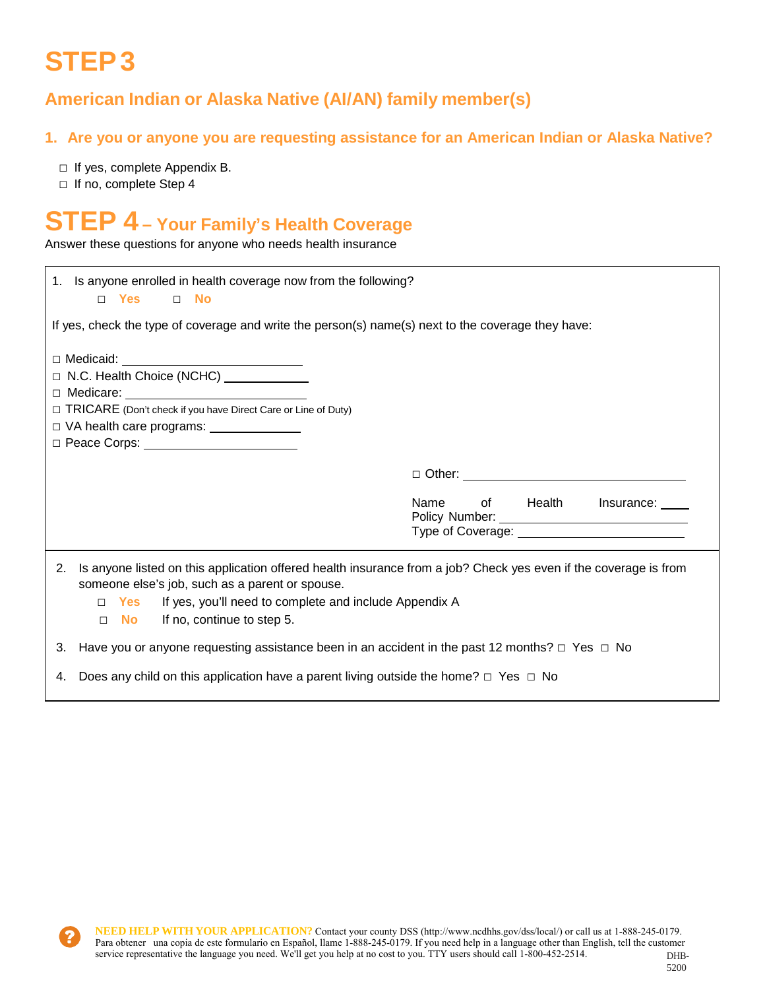# **STEP 3**

## **American Indian or Alaska Native (AI/AN) family member(s)**

### **1. Are you or anyone you are requesting assistance for an American Indian or Alaska Native?**

- □ If yes, complete Appendix B.
- □ If no, complete Step 4

## **STEP 4 – Your Family's Health Coverage**

Answer these questions for anyone who needs health insurance

| 1. Is anyone enrolled in health coverage now from the following?<br>□ Yes t<br>$\Box$ No                                                                                                                                                                                                         |                                                                                            |
|--------------------------------------------------------------------------------------------------------------------------------------------------------------------------------------------------------------------------------------------------------------------------------------------------|--------------------------------------------------------------------------------------------|
| If yes, check the type of coverage and write the person(s) name(s) next to the coverage they have:                                                                                                                                                                                               |                                                                                            |
| $\Box$ Medicaid:<br>□ N.C. Health Choice (NCHC) <u>________</u><br>□ TRICARE (Don't check if you have Direct Care or Line of Duty)<br>□ VA health care programs: _______________                                                                                                                 |                                                                                            |
|                                                                                                                                                                                                                                                                                                  |                                                                                            |
|                                                                                                                                                                                                                                                                                                  | of Health<br>Name<br>Insurance:<br>Type of Coverage: National Coverage: National Coverage: |
| Is anyone listed on this application offered health insurance from a job? Check yes even if the coverage is from<br>2.<br>someone else's job, such as a parent or spouse.<br>If yes, you'll need to complete and include Appendix A<br>Yes<br>П.<br>If no, continue to step 5.<br>No l<br>$\Box$ |                                                                                            |
| 3. Have you or anyone requesting assistance been in an accident in the past 12 months? $\Box$ Yes $\Box$ No                                                                                                                                                                                      |                                                                                            |
| 4. Does any child on this application have a parent living outside the home? $\Box$ Yes $\Box$ No                                                                                                                                                                                                |                                                                                            |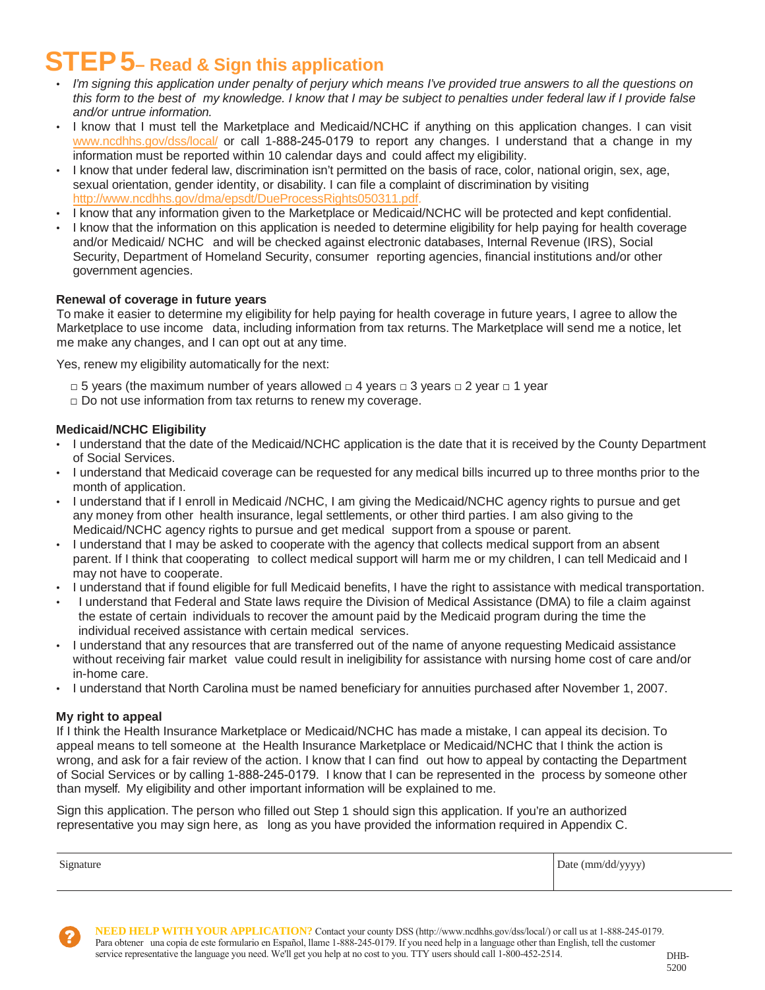# **STEP 5– Read & Sign this application**

- *I'm signing this application under penalty of perjury which means I've provided true answers to all the questions on* this form to the best of my knowledge. I know that I may be subject to penalties under federal law if I provide false *and/or untrue information.*
- I know that I must tell the Marketplace and Medicaid/NCHC if anything on this application changes. I can visit [www.ncdhhs.gov/dss/local/](http://www.ncdhhs.gov/dss/local/) or call 1-888-245-0179 to report any changes. I understand that a change in my information must be reported within 10 calendar days and could affect my eligibility.
- I know that under federal law, discrimination isn't permitted on the basis of race, color, national origin, sex, age, sexual orientation, gender identity, or disability. I can file a complaint of discrimination by visiting [http://www.ncdhhs.gov/dma/epsdt/DueProcessRights050311.pdf.](http://www.ncdhhs.gov/dma/epsdt/DueProcessRights050311.pdf)
- I know that any information given to the Marketplace or Medicaid/NCHC will be protected and kept confidential.
- I know that the information on this application is needed to determine eligibility for help paying for health coverage and/or Medicaid/ NCHC and will be checked against electronic databases, Internal Revenue (IRS), Social Security, Department of Homeland Security, consumer reporting agencies, financial institutions and/or other government agencies.

#### **Renewal of coverage in future years**

To make it easier to determine my eligibility for help paying for health coverage in future years, I agree to allow the Marketplace to use income data, including information from tax returns. The Marketplace will send me a notice, let me make any changes, and I can opt out at any time.

Yes, renew my eligibility automatically for the next:

- **□** 5 years (the maximum number of years allowed **□** 4 years □ 3 years **□** 2 year **□** 1 year
- **□** Do not use information from tax returns to renew my coverage.

#### **Medicaid/NCHC Eligibility**

- I understand that the date of the Medicaid/NCHC application is the date that it is received by the County Department of Social Services.
- I understand that Medicaid coverage can be requested for any medical bills incurred up to three months prior to the month of application.
- I understand that if I enroll in Medicaid /NCHC, I am giving the Medicaid/NCHC agency rights to pursue and get any money from other health insurance, legal settlements, or other third parties. I am also giving to the Medicaid/NCHC agency rights to pursue and get medical support from a spouse or parent.
- I understand that I may be asked to cooperate with the agency that collects medical support from an absent parent. If I think that cooperating to collect medical support will harm me or my children, I can tell Medicaid and I may not have to cooperate.
- I understand that if found eligible for full Medicaid benefits, I have the right to assistance with medical transportation.
- I understand that Federal and State laws require the Division of Medical Assistance (DMA) to file a claim against the estate of certain individuals to recover the amount paid by the Medicaid program during the time the individual received assistance with certain medical services.
- I understand that any resources that are transferred out of the name of anyone requesting Medicaid assistance without receiving fair market value could result in ineligibility for assistance with nursing home cost of care and/or in-home care.
- I understand that North Carolina must be named beneficiary for annuities purchased after November 1, 2007.

#### **My right to appeal**

If I think the Health Insurance Marketplace or Medicaid/NCHC has made a mistake, I can appeal its decision. To appeal means to tell someone at the Health Insurance Marketplace or Medicaid/NCHC that I think the action is wrong, and ask for a fair review of the action. I know that I can find out how to appeal by contacting the Department of Social Services or by calling 1-888-245-0179. I know that I can be represented in the process by someone other than myself. My eligibility and other important information will be explained to me.

Sign this application. The person who filled out Step 1 should sign this application. If you're an authorized representative you may sign here, as long as you have provided the information required in Appendix C.

| $\sim$    | Date (mm/dd/yyyy) |
|-----------|-------------------|
| Signature | JJJJ1             |
|           |                   |